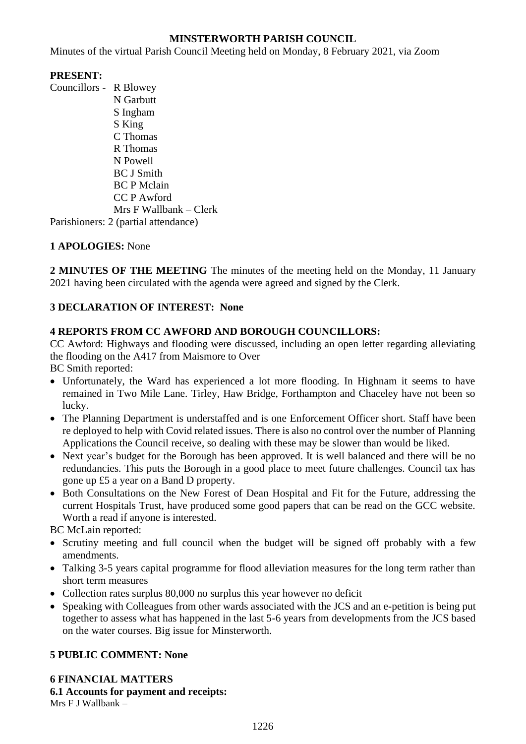## **MINSTERWORTH PARISH COUNCIL**

Minutes of the virtual Parish Council Meeting held on Monday, 8 February 2021, via Zoom

### **PRESENT:**

Councillors - R Blowey N Garbutt S Ingham S King C Thomas R Thomas N Powell BC J Smith BC P Mclain CC P Awford Mrs F Wallbank – Clerk Parishioners: 2 (partial attendance)

# **1 APOLOGIES:** None

**2 MINUTES OF THE MEETING** The minutes of the meeting held on the Monday, 11 January 2021 having been circulated with the agenda were agreed and signed by the Clerk.

## **3 DECLARATION OF INTEREST: None**

#### **4 REPORTS FROM CC AWFORD AND BOROUGH COUNCILLORS:**

CC Awford: Highways and flooding were discussed, including an open letter regarding alleviating the flooding on the A417 from Maismore to Over

BC Smith reported:

- Unfortunately, the Ward has experienced a lot more flooding. In Highnam it seems to have remained in Two Mile Lane. Tirley, Haw Bridge, Forthampton and Chaceley have not been so lucky.
- The Planning Department is understaffed and is one Enforcement Officer short. Staff have been re deployed to help with Covid related issues. There is also no control over the number of Planning Applications the Council receive, so dealing with these may be slower than would be liked.
- Next year's budget for the Borough has been approved. It is well balanced and there will be no redundancies. This puts the Borough in a good place to meet future challenges. Council tax has gone up £5 a year on a Band D property.
- Both Consultations on the New Forest of Dean Hospital and Fit for the Future, addressing the current Hospitals Trust, have produced some good papers that can be read on the GCC website. Worth a read if anyone is interested.

BC McLain reported:

- Scrutiny meeting and full council when the budget will be signed off probably with a few amendments.
- Talking 3-5 years capital programme for flood alleviation measures for the long term rather than short term measures
- Collection rates surplus 80,000 no surplus this year however no deficit
- Speaking with Colleagues from other wards associated with the JCS and an e-petition is being put together to assess what has happened in the last 5-6 years from developments from the JCS based on the water courses. Big issue for Minsterworth.

#### **5 PUBLIC COMMENT: None**

**6 FINANCIAL MATTERS 6.1 Accounts for payment and receipts:** Mrs F J Wallbank –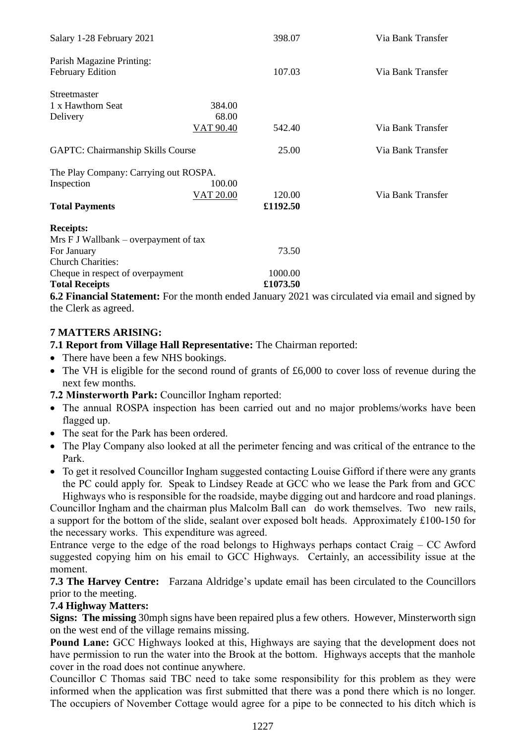| Salary 1-28 February 2021                |           | 398.07   | Via Bank Transfer |
|------------------------------------------|-----------|----------|-------------------|
| Parish Magazine Printing:                |           |          |                   |
| <b>February Edition</b>                  |           | 107.03   | Via Bank Transfer |
| Streetmaster                             |           |          |                   |
| 1 x Hawthorn Seat                        | 384.00    |          |                   |
| Delivery                                 | 68.00     |          |                   |
|                                          | VAT 90.40 | 542.40   | Via Bank Transfer |
| <b>GAPTC: Chairmanship Skills Course</b> |           | 25.00    | Via Bank Transfer |
| The Play Company: Carrying out ROSPA.    |           |          |                   |
| Inspection                               | 100.00    |          |                   |
|                                          | VAT 20.00 | 120.00   | Via Bank Transfer |
| <b>Total Payments</b>                    |           | £1192.50 |                   |
| <b>Receipts:</b>                         |           |          |                   |
| Mrs F J Wallbank – overpayment of tax    |           |          |                   |
| For January                              |           | 73.50    |                   |
| <b>Church Charities:</b>                 |           |          |                   |
| Cheque in respect of overpayment         |           | 1000.00  |                   |
| <b>Total Receipts</b>                    |           | £1073.50 |                   |

**6.2 Financial Statement:** For the month ended January 2021 was circulated via email and signed by the Clerk as agreed.

## **7 MATTERS ARISING:**

**7.1 Report from Village Hall Representative:** The Chairman reported:

- There have been a few NHS bookings.
- The VH is eligible for the second round of grants of £6,000 to cover loss of revenue during the next few months.

**7.2 Minsterworth Park:** Councillor Ingham reported:

- The annual ROSPA inspection has been carried out and no major problems/works have been flagged up.
- The seat for the Park has been ordered.
- The Play Company also looked at all the perimeter fencing and was critical of the entrance to the Park.
- To get it resolved Councillor Ingham suggested contacting Louise Gifford if there were any grants the PC could apply for. Speak to Lindsey Reade at GCC who we lease the Park from and GCC Highways who is responsible for the roadside, maybe digging out and hardcore and road planings.

Councillor Ingham and the chairman plus Malcolm Ball can do work themselves. Two new rails, a support for the bottom of the slide, sealant over exposed bolt heads. Approximately £100-150 for the necessary works. This expenditure was agreed.

Entrance verge to the edge of the road belongs to Highways perhaps contact Craig – CC Awford suggested copying him on his email to GCC Highways. Certainly, an accessibility issue at the moment.

**7.3 The Harvey Centre:** Farzana Aldridge's update email has been circulated to the Councillors prior to the meeting.

#### **7.4 Highway Matters:**

**Signs: The missing** 30mph signs have been repaired plus a few others. However, Minsterworth sign on the west end of the village remains missing.

**Pound Lane:** GCC Highways looked at this, Highways are saying that the development does not have permission to run the water into the Brook at the bottom. Highways accepts that the manhole cover in the road does not continue anywhere.

Councillor C Thomas said TBC need to take some responsibility for this problem as they were informed when the application was first submitted that there was a pond there which is no longer. The occupiers of November Cottage would agree for a pipe to be connected to his ditch which is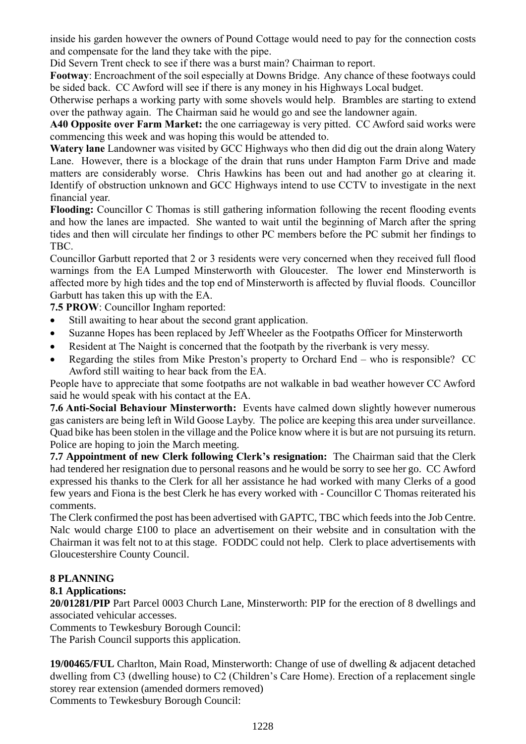inside his garden however the owners of Pound Cottage would need to pay for the connection costs and compensate for the land they take with the pipe.

Did Severn Trent check to see if there was a burst main? Chairman to report.

**Footway**: Encroachment of the soil especially at Downs Bridge. Any chance of these footways could be sided back. CC Awford will see if there is any money in his Highways Local budget.

Otherwise perhaps a working party with some shovels would help. Brambles are starting to extend over the pathway again. The Chairman said he would go and see the landowner again.

**A40 Opposite over Farm Market:** the one carriageway is very pitted. CC Awford said works were commencing this week and was hoping this would be attended to.

**Watery lane** Landowner was visited by GCC Highways who then did dig out the drain along Watery Lane. However, there is a blockage of the drain that runs under Hampton Farm Drive and made matters are considerably worse. Chris Hawkins has been out and had another go at clearing it. Identify of obstruction unknown and GCC Highways intend to use CCTV to investigate in the next financial year.

**Flooding:** Councillor C Thomas is still gathering information following the recent flooding events and how the lanes are impacted. She wanted to wait until the beginning of March after the spring tides and then will circulate her findings to other PC members before the PC submit her findings to TBC.

Councillor Garbutt reported that 2 or 3 residents were very concerned when they received full flood warnings from the EA Lumped Minsterworth with Gloucester. The lower end Minsterworth is affected more by high tides and the top end of Minsterworth is affected by fluvial floods. Councillor Garbutt has taken this up with the EA.

**7.5 PROW**: Councillor Ingham reported:

- Still awaiting to hear about the second grant application.
- Suzanne Hopes has been replaced by Jeff Wheeler as the Footpaths Officer for Minsterworth
- Resident at The Naight is concerned that the footpath by the riverbank is very messy.
- Regarding the stiles from Mike Preston's property to Orchard End who is responsible? CC Awford still waiting to hear back from the EA.

People have to appreciate that some footpaths are not walkable in bad weather however CC Awford said he would speak with his contact at the EA.

**7.6 Anti-Social Behaviour Minsterworth:** Events have calmed down slightly however numerous gas canisters are being left in Wild Goose Layby. The police are keeping this area under surveillance. Quad bike has been stolen in the village and the Police know where it is but are not pursuing its return. Police are hoping to join the March meeting.

**7.7 Appointment of new Clerk following Clerk's resignation:** The Chairman said that the Clerk had tendered her resignation due to personal reasons and he would be sorry to see her go. CC Awford expressed his thanks to the Clerk for all her assistance he had worked with many Clerks of a good few years and Fiona is the best Clerk he has every worked with - Councillor C Thomas reiterated his comments.

The Clerk confirmed the post has been advertised with GAPTC, TBC which feeds into the Job Centre. Nalc would charge £100 to place an advertisement on their website and in consultation with the Chairman it was felt not to at this stage. FODDC could not help. Clerk to place advertisements with Gloucestershire County Council.

#### **8 PLANNING**

#### **8.1 Applications:**

**20/01281/PIP** Part Parcel 0003 Church Lane, Minsterworth: PIP for the erection of 8 dwellings and associated vehicular accesses.

Comments to Tewkesbury Borough Council:

The Parish Council supports this application.

**19/00465/FUL** Charlton, Main Road, Minsterworth: Change of use of dwelling & adjacent detached dwelling from C3 (dwelling house) to C2 (Children's Care Home). Erection of a replacement single storey rear extension (amended dormers removed) Comments to Tewkesbury Borough Council: